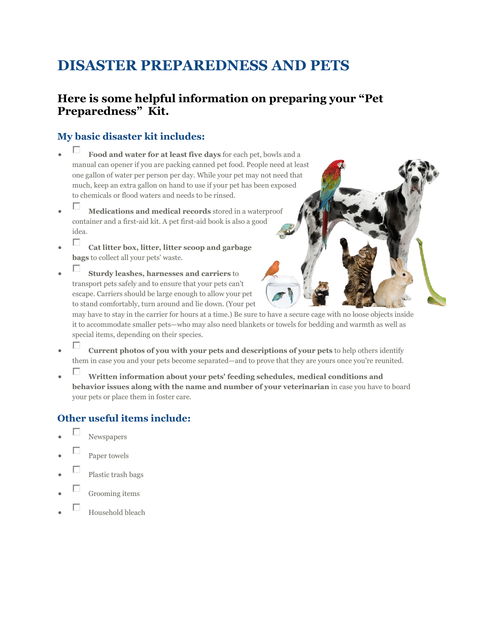# **DISASTER PREPAREDNESS AND PETS**

#### **Here is some helpful information on preparing your "Pet Preparedness" Kit.**

#### **My basic disaster kit includes:**

- **Food and water for at least five days** for each pet, bowls and a manual can opener if you are packing canned pet food. People need at least one gallon of water per person per day. While your pet may not need that much, keep an extra gallon on hand to use if your pet has been exposed to chemicals or flood waters and needs to be rinsed.
- **Medications and medical records** stored in a waterproof container and a first-aid kit. A pet first-aid book is also a good idea.
- **Cat litter box, litter, litter scoop and garbage bags** to collect all your pets' waste.
- **Sturdy leashes, harnesses and carriers** to transport pets safely and to ensure that your pets can't escape. Carriers should be large enough to allow your pet to stand comfortably, turn around and lie down. (Your pet

may have to stay in the carrier for hours at a time.) Be sure to have a secure cage with no loose objects inside it to accommodate smaller pets—who may also need blankets or towels for bedding and warmth as well as special items, depending on their species.

- **Current photos of you with your pets and descriptions of your pets** to help others identify them in case you and your pets become separated—and to prove that they are yours once you're reunited.
- **Written information about your pets' feeding schedules, medical conditions and behavior issues along with the name and number of your veterinarian** in case you have to board your pets or place them in foster care.

#### **Other useful items include:**

- Newspapers
- Paper towels
- Plastic trash bags
- Grooming items
- Household bleach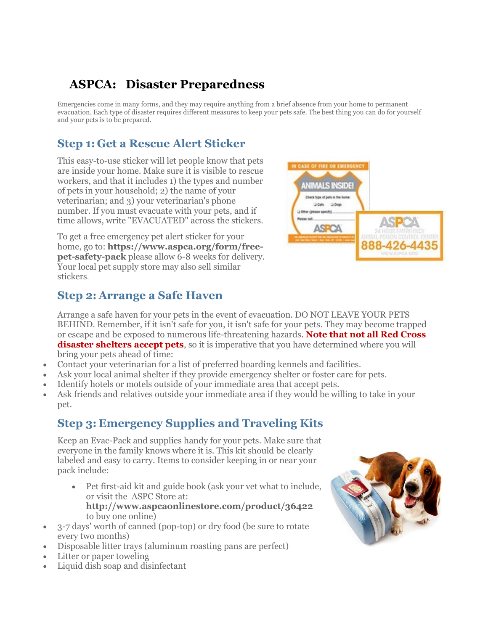# **ASPCA: Disaster Preparedness**

Emergencies come in many forms, and they may require anything from a brief absence from your home to permanent evacuation. Each type of disaster requires different measures to keep your pets safe. The best thing you can do for yourself and your pets is to be prepared.

### **Step 1: Get a Rescue Alert Sticker**

This easy-to-use sticker will let people know that pets are inside your home. Make sure it is visible to rescue workers, and that it includes 1) the types and number of pets in your household; 2) the name of your veterinarian; and 3) your veterinarian's phone number. If you must evacuate with your pets, and if time allows, write "EVACUATED" across the stickers.

To get a free emergency pet alert sticker for your home, go to: **https://www.aspca.org/form/freepet-safety-pack** please allow 6-8 weeks for delivery. Your local pet supply store may also sell similar stickers.



#### **Step 2: Arrange a Safe Haven**

Arrange a safe haven for your pets in the event of evacuation. DO NOT LEAVE YOUR PETS BEHIND. Remember, if it isn't safe for you, it isn't safe for your pets. They may become trapped or escape and be exposed to numerous life-threatening hazards. **Note that not all Red Cross**  disaster shelters accept pets, so it is imperative that you have determined where you will bring your pets ahead of time:

- Contact your veterinarian for a list of preferred boarding kennels and facilities.
- Ask your local animal shelter if they provide emergency shelter or foster care for pets.
- Identify hotels or motels outside of your immediate area that accept pets.
- Ask friends and relatives outside your immediate area if they would be willing to take in your pet.

## **Step 3: Emergency Supplies and Traveling Kits**

Keep an Evac-Pack and supplies handy for your pets. Make sure that everyone in the family knows where it is. This kit should be clearly labeled and easy to carry. Items to consider keeping in or near your pack include:

- Pet first-aid kit and guide book (ask your vet what to include, or visit the ASPC Store at: **http://www.aspcaonlinestore.com/product/36422** to buy one online)
- 3-7 days' worth of canned (pop-top) or dry food (be sure to rotate every two months)
- Disposable litter trays (aluminum roasting pans are perfect)
- Litter or paper toweling
- Liquid dish soap and disinfectant

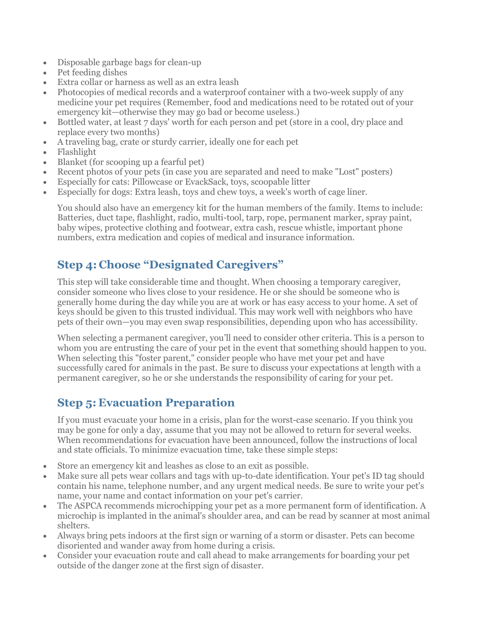- Disposable garbage bags for clean-up
- Pet feeding dishes
- Extra collar or harness as well as an extra leash
- Photocopies of medical records and a waterproof container with a two-week supply of any medicine your pet requires (Remember, food and medications need to be rotated out of your emergency kit—otherwise they may go bad or become useless.)
- Bottled water, at least 7 days' worth for each person and pet (store in a cool, dry place and replace every two months)
- A traveling bag, crate or sturdy carrier, ideally one for each pet
- Flashlight
- Blanket (for scooping up a fearful pet)
- Recent photos of your pets (in case you are separated and need to make "Lost" posters)
- Especially for cats: Pillowcase or EvackSack, toys, scoopable litter
- Especially for dogs: Extra leash, toys and chew toys, a week's worth of cage liner.

You should also have an emergency kit for the human members of the family. Items to include: Batteries, duct tape, flashlight, radio, multi-tool, tarp, rope, permanent marker, spray paint, baby wipes, protective clothing and footwear, extra cash, rescue whistle, important phone numbers, extra medication and copies of medical and insurance information.

#### **Step 4: Choose "Designated Caregivers"**

This step will take considerable time and thought. When choosing a temporary caregiver, consider someone who lives close to your residence. He or she should be someone who is generally home during the day while you are at work or has easy access to your home. A set of keys should be given to this trusted individual. This may work well with neighbors who have pets of their own—you may even swap responsibilities, depending upon who has accessibility.

When selecting a permanent caregiver, you'll need to consider other criteria. This is a person to whom you are entrusting the care of your pet in the event that something should happen to you. When selecting this "foster parent," consider people who have met your pet and have successfully cared for animals in the past. Be sure to discuss your expectations at length with a permanent caregiver, so he or she understands the responsibility of caring for your pet.

#### **Step 5: Evacuation Preparation**

If you must evacuate your home in a crisis, plan for the worst-case scenario. If you think you may be gone for only a day, assume that you may not be allowed to return for several weeks. When recommendations for evacuation have been announced, follow the instructions of local and state officials. To minimize evacuation time, take these simple steps:

- Store an emergency kit and leashes as close to an exit as possible.
- Make sure all pets wear collars and tags with up-to-date identification. Your pet's ID tag should contain his name, telephone number, and any urgent medical needs. Be sure to write your pet's name, your name and contact information on your pet's carrier.
- The ASPCA recommends microchipping your pet as a more permanent form of identification. A microchip is implanted in the animal's shoulder area, and can be read by scanner at most animal shelters.
- Always bring pets indoors at the first sign or warning of a storm or disaster. Pets can become disoriented and wander away from home during a crisis.
- Consider your evacuation route and call ahead to make arrangements for boarding your pet outside of the danger zone at the first sign of disaster.